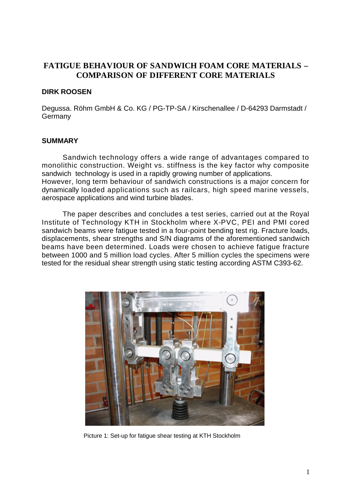# **FATIGUE BEHAVIOUR OF SANDWICH FOAM CORE MATERIALS – COMPARISON OF DIFFERENT CORE MATERIALS**

### **DIRK ROOSEN**

Degussa. Röhm GmbH & Co. KG / PG-TP-SA / Kirschenallee / D-64293 Darmstadt / **Germany** 

### **SUMMARY**

Sandwich technology offers a wide range of advantages compared to monolithic construction. Weight vs. stiffness is the key factor why composite sandwich technology is used in a rapidly growing number of applications. However, long term behaviour of sandwich constructions is a major concern for dynamically loaded applications such as railcars, high speed marine vessels, aerospace applications and wind turbine blades.

The paper describes and concludes a test series, carried out at the Royal Institute of Technology KTH in Stockholm where X-PVC, PEI and PMI cored sandwich beams were fatigue tested in a four-point bending test rig. Fracture loads, displacements, shear strengths and S/N diagrams of the aforementioned sandwich beams have been determined. Loads were chosen to achieve fatigue fracture between 1000 and 5 million load cycles. After 5 million cycles the specimens were tested for the residual shear strength using static testing according ASTM C393-62.



Picture 1: Set-up for fatigue shear testing at KTH Stockholm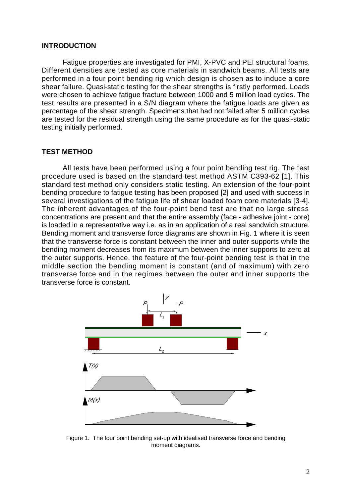#### **INTRODUCTION**

Fatigue properties are investigated for PMI, X-PVC and PEI structural foams. Different densities are tested as core materials in sandwich beams. All tests are performed in a four point bending rig which design is chosen as to induce a core shear failure. Quasi-static testing for the shear strengths is firstly performed. Loads were chosen to achieve fatigue fracture between 1000 and 5 million load cycles. The test results are presented in a S/N diagram where the fatigue loads are given as percentage of the shear strength. Specimens that had not failed after 5 million cycles are tested for the residual strength using the same procedure as for the quasi-static testing initially performed.

#### **TEST METHOD**

All tests have been performed using a four point bending test rig. The test procedure used is based on the standard test method ASTM C393-62 [1]. This standard test method only considers static testing. An extension of the four-point bending procedure to fatigue testing has been proposed [2] and used with success in several investigations of the fatigue life of shear loaded foam core materials [3-4]. The inherent advantages of the four-point bend test are that no large stress concentrations are present and that the entire assembly (face - adhesive joint - core) is loaded in a representative way i.e. as in an application of a real sandwich structure. Bending moment and transverse force diagrams are shown in Fig. 1 where it is seen that the transverse force is constant between the inner and outer supports while the bending moment decreases from its maximum between the inner supports to zero at the outer supports. Hence, the feature of the four-point bending test is that in the middle section the bending moment is constant (and of maximum) with zero transverse force and in the regimes between the outer and inner supports the transverse force is constant.



Figure 1. The four point bending set-up with idealised transverse force and bending moment diagrams.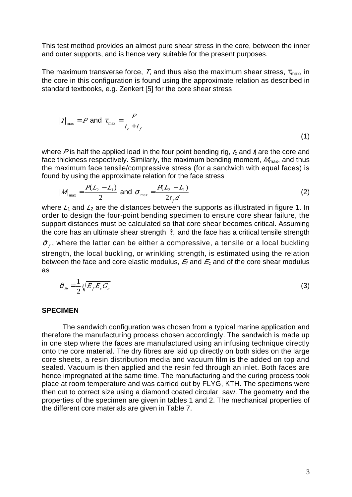This test method provides an almost pure shear stress in the core, between the inner and outer supports, and is hence very suitable for the present purposes.

The maximum transverse force, *T*, and thus also the maximum shear stress,  $\tau_{\text{max}}$ , in the core in this configuration is found using the approximate relation as described in standard textbooks, e.g. Zenkert [5] for the core shear stress

$$
|T|_{\text{max}} = P \text{ and } f_{\text{max}} = \frac{P}{t_c + t_f}
$$
\n(1)

where P is half the applied load in the four point bending rig,  $t_c$  and  $t_f$  are the core and face thickness respectively. Similarly, the maximum bending moment,  $M_{\text{max}}$ , and thus the maximum face tensile/compressive stress (for a sandwich with equal faces) is found by using the approximate relation for the face stress

$$
|M|_{\text{max}} = \frac{P(L_2 - L_1)}{2} \text{ and } \t\t\tau_{\text{max}} = \frac{P(L_2 - L_1)}{2t_f d} \tag{2}
$$

where  $L_1$  and  $L_2$  are the distances between the supports as illustrated in figure 1. In order to design the four-point bending specimen to ensure core shear failure, the support distances must be calculated so that core shear becomes critical. Assuming the core has an ultimate shear strength  $\,\,\widetilde{\!\!r}_\mathrm{c}\,$  and the face has a critical tensile strength

 $\mathcal{F}_{f}$ , where the latter can be either a compressive, a tensile or a local buckling strength, the local buckling, or wrinkling strength, is estimated using the relation between the face and core elastic modulus,  $E_i$  and  $E_c$  and of the core shear modulus as

$$
\mathcal{F}_{lb} = \frac{1}{2} \sqrt[3]{E_f E_c G_c}
$$
\n<sup>(3)</sup>

#### **SPECIMEN**

The sandwich configuration was chosen from a typical marine application and therefore the manufacturing process chosen accordingly. The sandwich is made up in one step where the faces are manufactured using an infusing technique directly onto the core material. The dry fibres are laid up directly on both sides on the large core sheets, a resin distribution media and vacuum film is the added on top and sealed. Vacuum is then applied and the resin fed through an inlet. Both faces are hence impregnated at the same time. The manufacturing and the curing process took place at room temperature and was carried out by FLYG, KTH. The specimens were then cut to correct size using a diamond coated circular saw. The geometry and the properties of the specimen are given in tables 1 and 2. The mechanical properties of the different core materials are given in Table 7.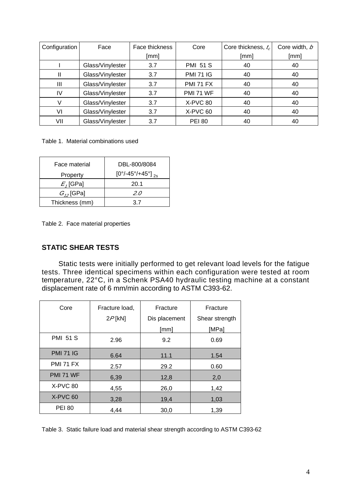| Configuration | Face             | Face thickness | Core             | Core thickness, $t_c$ | Core width, b |
|---------------|------------------|----------------|------------------|-----------------------|---------------|
|               |                  | [mm]           |                  | [mm]                  | [mm]          |
|               | Glass/Vinylester | 3.7            | <b>PMI 51 S</b>  | 40                    | 40            |
| Ш             | Glass/Vinylester | 3.7            | <b>PMI 71 IG</b> | 40                    | 40            |
| Ш             | Glass/Vinylester | 3.7            | <b>PMI 71 FX</b> | 40                    | 40            |
| IV            | Glass/Vinylester | 3.7            | <b>PMI 71 WF</b> | 40                    | 40            |
|               | Glass/Vinylester | 3.7            | X-PVC 80         | 40                    | 40            |
| VI            | Glass/Vinylester | 3.7            | X-PVC 60         | 40                    | 40            |
| VII           | Glass/Vinylester | 3.7            | <b>PEI 80</b>    | 40                    | 40            |

Table 1. Material combinations used

| Face material  | DBL-800/8084                               |  |  |
|----------------|--------------------------------------------|--|--|
| Property       | $[0^{\circ}/-45^{\circ}/+45^{\circ}]_{2s}$ |  |  |
| $E$ , [GPa]    | 20.1                                       |  |  |
| $G_{12}$ [GPa] | 2.0                                        |  |  |
| Thickness (mm) | 37                                         |  |  |

Table 2. Face material properties

#### **STATIC SHEAR TESTS**

Static tests were initially performed to get relevant load levels for the fatigue tests. Three identical specimens within each configuration were tested at room temperature, 22°C, in a Schenk PSA40 hydraulic testing machine at a constant displacement rate of 6 mm/min according to ASTM C393-62.

| Fracture load,<br>Core |           | Fracture      | Fracture       |  |
|------------------------|-----------|---------------|----------------|--|
|                        | $2P$ [kN] | Dis placement | Shear strength |  |
|                        |           | [mm]          | [MPa]          |  |
| <b>PMI 51 S</b>        | 2.96      | 9.2           | 0.69           |  |
| <b>PMI 71 IG</b>       | 6.64      | 11.1          | 1.54           |  |
| <b>PMI 71 FX</b>       | 2.57      | 29.2          | 0.60           |  |
| <b>PMI 71 WF</b>       | 6,39      | 12,8          | 2,0            |  |
| $X-PVC80$              | 4,55      | 26,0          | 1,42           |  |
| $X-PVC60$              | 3,28      | 19,4          | 1,03           |  |
| <b>PEI 80</b>          | 4,44      | 30,0          | 1,39           |  |

Table 3. Static failure load and material shear strength according to ASTM C393-62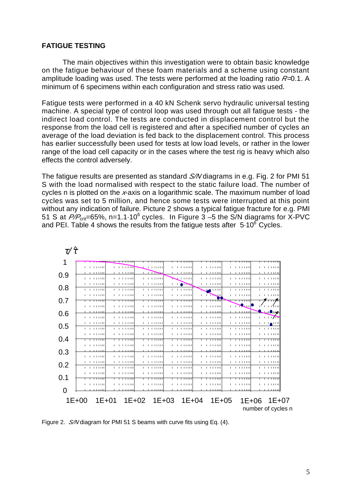#### **FATIGUE TESTING**

The main objectives within this investigation were to obtain basic knowledge on the fatigue behaviour of these foam materials and a scheme using constant amplitude loading was used. The tests were performed at the loading ratio *R=*0.1. A minimum of 6 specimens within each configuration and stress ratio was used.

Fatigue tests were performed in a 40 kN Schenk servo hydraulic universal testing machine. A special type of control loop was used through out all fatigue tests - the indirect load control. The tests are conducted in displacement control but the response from the load cell is registered and after a specified number of cycles an average of the load deviation is fed back to the displacement control. This process has earlier successfully been used for tests at low load levels, or rather in the lower range of the load cell capacity or in the cases where the test rig is heavy which also effects the control adversely.

The fatigue results are presented as standard *S/N* diagrams in e.g. Fig. 2 for PMI 51 S with the load normalised with respect to the static failure load. The number of cycles n is plotted on the *x*-axis on a logarithmic scale. The maximum number of load cycles was set to 5 million, and hence some tests were interrupted at this point without any indication of failure. Picture 2 shows a typical fatigue fracture for e.g. PMI 51 S at  $P/P_{\text{crit}}$ =65%, n=1.1 $\cdot$ 10<sup>6</sup> cycles. In Figure 3 –5 the S/N diagrams for X-PVC and PEI. Table 4 shows the results from the fatigue tests after  $5.10^6$  Cycles.



Figure 2. *S/N* diagram for PMI 51 S beams with curve fits using Eq. (4).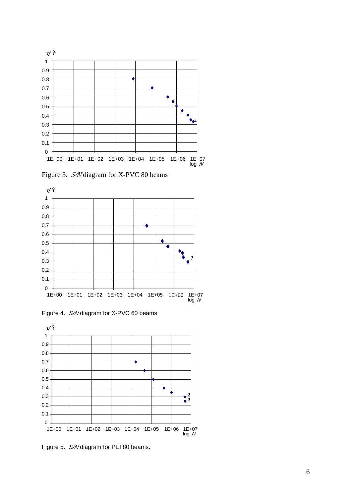

Figure 3. *S/N* diagram for X-PVC 80 beams



Figure 4. *S/N* diagram for X-PVC 60 beams



Figure 5. *S/N* diagram for PEI 80 beams.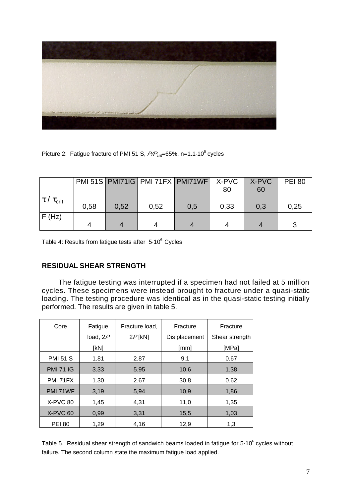

Picture 2: Fatigue fracture of PMI 51 S,  $P/P_{\text{crit}}$ =65%, n=1.1 $\cdot$ 10<sup>6</sup> cycles

|                               |      |      | PMI 51S   PMI71IG   PMI 71FX   PMI71WF   X-PVC |     | 80   | X-PVC<br>60 | <b>PEI 80</b> |
|-------------------------------|------|------|------------------------------------------------|-----|------|-------------|---------------|
| $ \,\tau\,/\,\tau_{\rm crit}$ | 0.58 | 0.52 | 0,52                                           | 0,5 | 0,33 | 0,3         | 0.25          |
| F(Hz)                         |      |      |                                                |     |      |             |               |

Table 4: Results from fatigue tests after 5.10<sup>6</sup> Cycles

## **RESIDUAL SHEAR STRENGTH**

The fatigue testing was interrupted if a specimen had not failed at 5 million cycles. These specimens were instead brought to fracture under a quasi-static loading. The testing procedure was identical as in the quasi-static testing initially performed. The results are given in table 5.

| Core             | Fatigue    | Fracture load, | Fracture      | Fracture       |
|------------------|------------|----------------|---------------|----------------|
|                  | load, $2P$ | $2P$ [kN]      | Dis placement | Shear strength |
|                  | [kN]       |                | [mm]          | [MPa]          |
| <b>PMI 51 S</b>  | 1.81       | 2.87           | 9.1           | 0.67           |
| <b>PMI 71 IG</b> | 3.33       | 5.95           | 10.6          | 1.38           |
| PMI 71FX         | 1.30       | 2.67           | 30.8          | 0.62           |
| PMI 71WF         | 3,19       | 5,94           | 10,9          | 1,86           |
| X-PVC 80         | 1,45       | 4,31           | 11,0          | 1,35           |
| X-PVC 60         | 0,99       | 3,31           | 15,5          | 1,03           |
| <b>PEI 80</b>    | 1,29       | 4.16           | 12,9          | 1,3            |

Table 5. Residual shear strength of sandwich beams loaded in fatigue for 5 $\cdot$ 10<sup>6</sup> cycles without failure. The second column state the maximum fatigue load applied.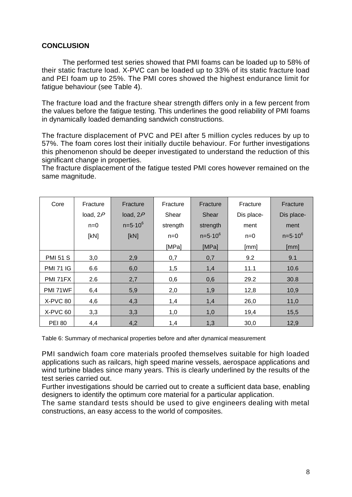### **CONCLUSION**

The performed test series showed that PMI foams can be loaded up to 58% of their static fracture load. X-PVC can be loaded up to 33% of its static fracture load and PEI foam up to 25%. The PMI cores showed the highest endurance limit for fatigue behaviour (see Table 4).

The fracture load and the fracture shear strength differs only in a few percent from the values before the fatigue testing. This underlines the good reliability of PMI foams in dynamically loaded demanding sandwich constructions.

The fracture displacement of PVC and PEI after 5 million cycles reduces by up to 57%. The foam cores lost their initially ductile behaviour. For further investigations this phenomenon should be deeper investigated to understand the reduction of this significant change in properties.

The fracture displacement of the fatigue tested PMI cores however remained on the same magnitude.

| Core             | Fracture   | Fracture     | Fracture | Fracture     | Fracture   | Fracture     |
|------------------|------------|--------------|----------|--------------|------------|--------------|
|                  | load, $2P$ | load, $2P$   | Shear    | Shear        | Dis place- | Dis place-   |
|                  | $n=0$      | $n = 5.10^6$ | strength | strength     | ment       | ment         |
|                  | [kN]       | [kN]         | $n=0$    | $n = 5.10^6$ | $n=0$      | $n = 5.10^6$ |
|                  |            |              | [MPa]    | [MPa]        | [mm]       | [mm]         |
| <b>PMI 51 S</b>  | 3,0        | 2,9          | 0,7      | 0,7          | 9.2        | 9.1          |
| <b>PMI 71 IG</b> | 6.6        | 6,0          | 1,5      | 1,4          | 11.1       | 10.6         |
| PMI 71FX         | 2.6        | 2,7          | 0,6      | 0,6          | 29.2       | 30.8         |
| PMI 71WF         | 6,4        | 5,9          | 2,0      | 1,9          | 12,8       | 10,9         |
| X-PVC 80         | 4,6        | 4,3          | 1,4      | 1,4          | 26,0       | 11,0         |
| X-PVC 60         | 3,3        | 3,3          | 1,0      | 1,0          | 19,4       | 15,5         |
| <b>PEI 80</b>    | 4,4        | 4,2          | 1,4      | 1,3          | 30,0       | 12,9         |

Table 6: Summary of mechanical properties before and after dynamical measurement

PMI sandwich foam core materials proofed themselves suitable for high loaded applications such as railcars, high speed marine vessels, aerospace applications and wind turbine blades since many years. This is clearly underlined by the results of the test series carried out.

Further investigations should be carried out to create a sufficient data base, enabling designers to identify the optimum core material for a particular application.

The same standard tests should be used to give engineers dealing with metal constructions, an easy access to the world of composites.